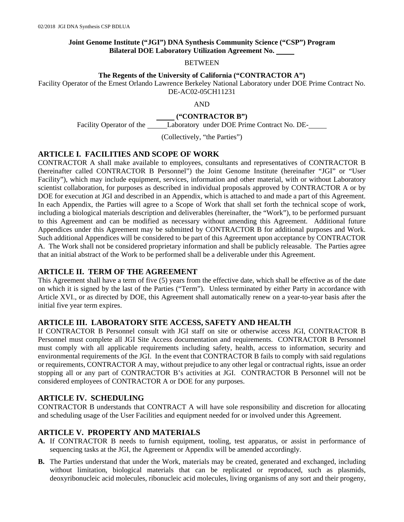## **Joint Genome Institute ("JGI") DNA Synthesis Community Science ("CSP") Program Bilateral DOE Laboratory Utilization Agreement No.**

#### BETWEEN

## **The Regents of the University of California ("CONTRACTOR A")**

Facility Operator of the Ernest Orlando Lawrence Berkeley National Laboratory under DOE Prime Contract No. DE-AC02-05CH11231

AND

## **("CONTRACTOR B")**

Facility Operator of the \_\_\_\_\_\_Laboratory under DOE Prime Contract No. DE-

(Collectively, "the Parties")

# **ARTICLE I. FACILITIES AND SCOPE OF WORK**

CONTRACTOR A shall make available to employees, consultants and representatives of CONTRACTOR B (hereinafter called CONTRACTOR B Personnel") the Joint Genome Institute (hereinafter "JGI" or "User Facility"), which may include equipment, services, information and other material, with or without Laboratory scientist collaboration, for purposes as described in individual proposals approved by CONTRACTOR A or by DOE for execution at JGI and described in an Appendix, which is attached to and made a part of this Agreement. In each Appendix, the Parties will agree to a Scope of Work that shall set forth the technical scope of work, including a biological materials description and deliverables (hereinafter, the "Work"), to be performed pursuant to this Agreement and can be modified as necessary without amending this Agreement. Additional future Appendices under this Agreement may be submitted by CONTRACTOR B for additional purposes and Work. Such additional Appendices will be considered to be part of this Agreement upon acceptance by CONTRACTOR A. The Work shall not be considered proprietary information and shall be publicly releasable. The Parties agree that an initial abstract of the Work to be performed shall be a deliverable under this Agreement.

# **ARTICLE II. TERM OF THE AGREEMENT**

This Agreement shall have a term of five (5) years from the effective date, which shall be effective as of the date on which it is signed by the last of the Parties ("Term"). Unless terminated by either Party in accordance with Article XVI., or as directed by DOE, this Agreement shall automatically renew on a year-to-year basis after the initial five year term expires.

# **ARTICLE III. LABORATORY SITE ACCESS, SAFETY AND HEALTH**

If CONTRACTOR B Personnel consult with JGI staff on site or otherwise access JGI, CONTRACTOR B Personnel must complete all JGI Site Access documentation and requirements. CONTRACTOR B Personnel must comply with all applicable requirements including safety, health, access to information, security and environmental requirements of the JGI. In the event that CONTRACTOR B fails to comply with said regulations or requirements, CONTRACTOR A may, without prejudice to any other legal or contractual rights, issue an order stopping all or any part of CONTRACTOR B's activities at JGI. CONTRACTOR B Personnel will not be considered employees of CONTRACTOR A or DOE for any purposes.

# **ARTICLE IV. SCHEDULING**

CONTRACTOR B understands that CONTRACT A will have sole responsibility and discretion for allocating and scheduling usage of the User Facilities and equipment needed for or involved under this Agreement.

# **ARTICLE V. PROPERTY AND MATERIALS**

- **A.** If CONTRACTOR B needs to furnish equipment, tooling, test apparatus, or assist in performance of sequencing tasks at the JGI, the Agreement or Appendix will be amended accordingly.
- **B.** The Parties understand that under the Work, materials may be created, generated and exchanged, including without limitation, biological materials that can be replicated or reproduced, such as plasmids, deoxyribonucleic acid molecules, ribonucleic acid molecules, living organisms of any sort and their progeny,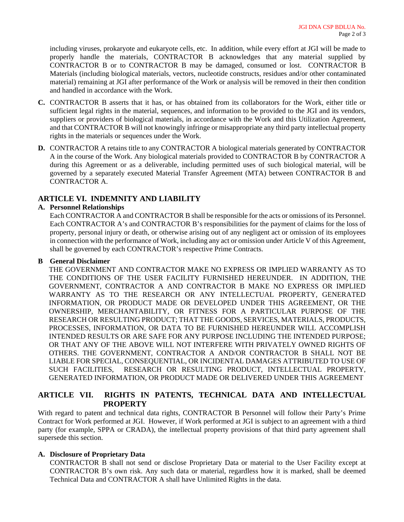including viruses, prokaryote and eukaryote cells, etc. In addition, while every effort at JGI will be made to properly handle the materials, CONTRACTOR B acknowledges that any material supplied by CONTRACTOR B or to CONTRACTOR B may be damaged, consumed or lost. CONTRACTOR B Materials (including biological materials, vectors, nucleotide constructs, residues and/or other contaminated material) remaining at JGI after performance of the Work or analysis will be removed in their then condition and handled in accordance with the Work.

- **C.** CONTRACTOR B asserts that it has, or has obtained from its collaborators for the Work, either title or sufficient legal rights in the material, sequences, and information to be provided to the JGI and its vendors, suppliers or providers of biological materials, in accordance with the Work and this Utilization Agreement, and that CONTRACTOR B will not knowingly infringe or misappropriate any third party intellectual property rights in the materials or sequences under the Work.
- **D.** CONTRACTOR A retains title to any CONTRACTOR A biological materials generated by CONTRACTOR A in the course of the Work. Any biological materials provided to CONTRACTOR B by CONTRACTOR A during this Agreement or as a deliverable, including permitted uses of such biological material, will be governed by a separately executed Material Transfer Agreement (MTA) between CONTRACTOR B and CONTRACTOR A.

# **ARTICLE VI. INDEMNITY AND LIABILITY**

## **A. Personnel Relationships**

Each CONTRACTOR A and CONTRACTOR B shall be responsible for the acts or omissions of its Personnel. Each CONTRACTOR A's and CONTRACTOR B's responsibilities for the payment of claims for the loss of property, personal injury or death, or otherwise arising out of any negligent act or omission of its employees in connection with the performance of Work, including any act or omission under Article V of this Agreement, shall be governed by each CONTRACTOR's respective Prime Contracts.

## **B General Disclaimer**

THE GOVERNMENT AND CONTRACTOR MAKE NO EXPRESS OR IMPLIED WARRANTY AS TO THE CONDITIONS OF THE USER FACILITY FURNISHED HEREUNDER. IN ADDITION, THE GOVERNMENT, CONTRACTOR A AND CONTRACTOR B MAKE NO EXPRESS OR IMPLIED WARRANTY AS TO THE RESEARCH OR ANY INTELLECTUAL PROPERTY, GENERATED INFORMATION, OR PRODUCT MADE OR DEVELOPED UNDER THIS AGREEMENT, OR THE OWNERSHIP, MERCHANTABILITY, OR FITNESS FOR A PARTICULAR PURPOSE OF THE RESEARCH OR RESULTING PRODUCT; THAT THE GOODS, SERVICES, MATERIALS, PRODUCTS, PROCESSES, INFORMATION, OR DATA TO BE FURNISHED HEREUNDER WILL ACCOMPLISH INTENDED RESULTS OR ARE SAFE FOR ANY PURPOSE INCLUDING THE INTENDED PURPOSE; OR THAT ANY OF THE ABOVE WILL NOT INTERFERE WITH PRIVATELY OWNED RIGHTS OF OTHERS. THE GOVERNMENT, CONTRACTOR A AND/OR CONTRACTOR B SHALL NOT BE LIABLE FOR SPECIAL, CONSEQUENTIAL, OR INCIDENTAL DAMAGES ATTRIBUTED TO USE OF SUCH FACILITIES, RESEARCH OR RESULTING PRODUCT, INTELLECTUAL PROPERTY, GENERATED INFORMATION, OR PRODUCT MADE OR DELIVERED UNDER THIS AGREEMENT

# **ARTICLE VII. RIGHTS IN PATENTS, TECHNICAL DATA AND INTELLECTUAL PROPERTY**

With regard to patent and technical data rights, CONTRACTOR B Personnel will follow their Party's Prime Contract for Work performed at JGI. However, if Work performed at JGI is subject to an agreement with a third party (for example, SPPA or CRADA), the intellectual property provisions of that third party agreement shall supersede this section.

## **A. Disclosure of Proprietary Data**

CONTRACTOR B shall not send or disclose Proprietary Data or material to the User Facility except at CONTRACTOR B's own risk. Any such data or material, regardless how it is marked, shall be deemed Technical Data and CONTRACTOR A shall have Unlimited Rights in the data.